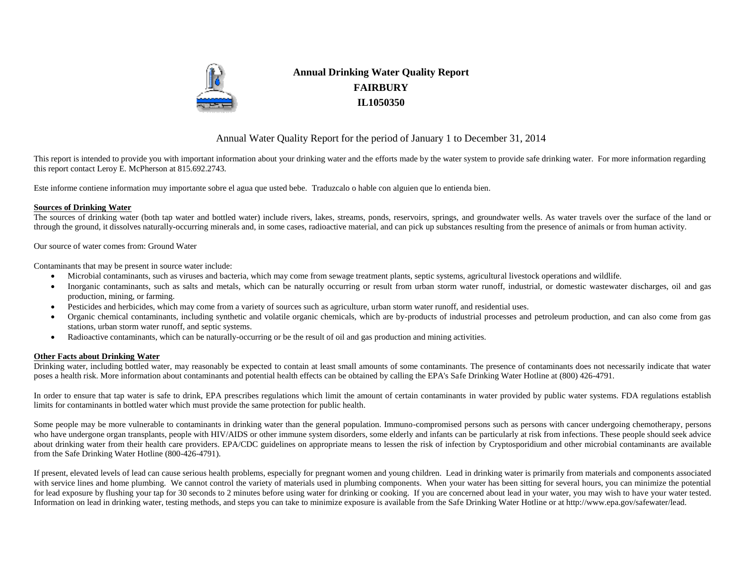

# **Annual Drinking Water Quality Report FAIRBURY IL1050350**

# Annual Water Quality Report for the period of January 1 to December 31, 2014

This report is intended to provide you with important information about your drinking water and the efforts made by the water system to provide safe drinking water. For more information regarding this report contact Leroy E. McPherson at 815.692.2743.

Este informe contiene information muy importante sobre el agua que usted bebe. Traduzcalo o hable con alguien que lo entienda bien.

### **Sources of Drinking Water**

The sources of drinking water (both tap water and bottled water) include rivers, lakes, streams, ponds, reservoirs, springs, and groundwater wells. As water travels over the surface of the land or through the ground, it dissolves naturally-occurring minerals and, in some cases, radioactive material, and can pick up substances resulting from the presence of animals or from human activity.

Our source of water comes from: Ground Water

Contaminants that may be present in source water include:

- Microbial contaminants, such as viruses and bacteria, which may come from sewage treatment plants, septic systems, agricultural livestock operations and wildlife.
- Inorganic contaminants, such as salts and metals, which can be naturally occurring or result from urban storm water runoff, industrial, or domestic wastewater discharges, oil and gas production, mining, or farming.
- Pesticides and herbicides, which may come from a variety of sources such as agriculture, urban storm water runoff, and residential uses.
- Organic chemical contaminants, including synthetic and volatile organic chemicals, which are by-products of industrial processes and petroleum production, and can also come from gas stations, urban storm water runoff, and septic systems.
- Radioactive contaminants, which can be naturally-occurring or be the result of oil and gas production and mining activities.

### **Other Facts about Drinking Water**

Drinking water, including bottled water, may reasonably be expected to contain at least small amounts of some contaminants. The presence of contaminants does not necessarily indicate that water poses a health risk. More information about contaminants and potential health effects can be obtained by calling the EPA's Safe Drinking Water Hotline at (800) 426-4791.

In order to ensure that tap water is safe to drink, EPA prescribes regulations which limit the amount of certain contaminants in water provided by public water systems. FDA regulations establish limits for contaminants in bottled water which must provide the same protection for public health.

Some people may be more vulnerable to contaminants in drinking water than the general population. Immuno-compromised persons such as persons with cancer undergoing chemotherapy, persons who have undergone organ transplants, people with HIV/AIDS or other immune system disorders, some elderly and infants can be particularly at risk from infections. These people should seek advice about drinking water from their health care providers. EPA/CDC guidelines on appropriate means to lessen the risk of infection by Cryptosporidium and other microbial contaminants are available from the Safe Drinking Water Hotline (800-426-4791).

If present, elevated levels of lead can cause serious health problems, especially for pregnant women and young children. Lead in drinking water is primarily from materials and components associated with service lines and home plumbing. We cannot control the variety of materials used in plumbing components. When your water has been sitting for several hours, you can minimize the potential for lead exposure by flushing your tap for 30 seconds to 2 minutes before using water for drinking or cooking. If you are concerned about lead in your water, you may wish to have your water tested. Information on lead in drinking water, testing methods, and steps you can take to minimize exposure is available from the Safe Drinking Water Hotline or at http://www.epa.gov/safewater/lead.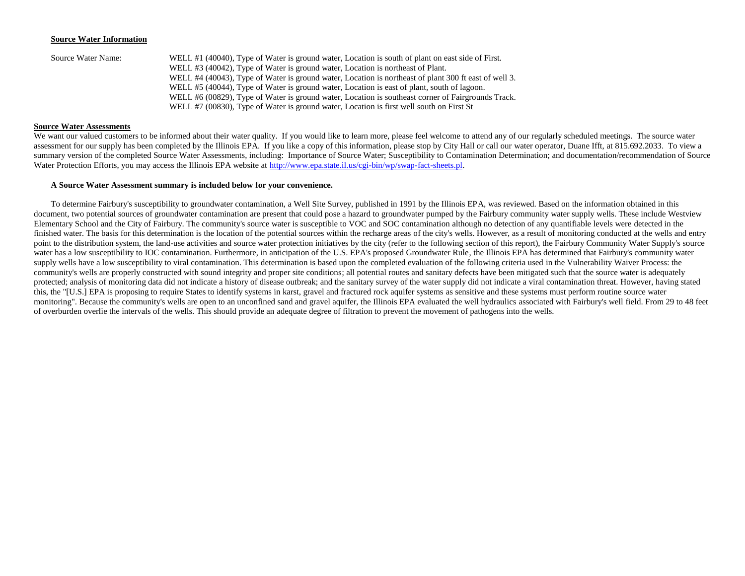#### **Source Water Information**

| Source Water Name: | WELL #1 (40040), Type of Water is ground water, Location is south of plant on east side of First.     |
|--------------------|-------------------------------------------------------------------------------------------------------|
|                    | WELL #3 (40042), Type of Water is ground water, Location is northeast of Plant.                       |
|                    | WELL #4 (40043), Type of Water is ground water, Location is northeast of plant 300 ft east of well 3. |
|                    | WELL #5 (40044), Type of Water is ground water, Location is east of plant, south of lagoon.           |
|                    | WELL #6 (00829), Type of Water is ground water, Location is southeast corner of Fairgrounds Track.    |
|                    | WELL #7 (00830), Type of Water is ground water, Location is first well south on First St              |

### **Source Water Assessments**

We want our valued customers to be informed about their water quality. If you would like to learn more, please feel welcome to attend any of our regularly scheduled meetings. The source water assessment for our supply has been completed by the Illinois EPA. If you like a copy of this information, please stop by City Hall or call our water operator, Duane Ifft, at 815.692.2033. To view a summary version of the completed Source Water Assessments, including: Importance of Source Water; Susceptibility to Contamination Determination; and documentation/recommendation of Source Water Protection Efforts, you may access the Illinois EPA website a[t http://www.epa.state.il.us/cgi-bin/wp/swap-fact-sheets.pl.](http://www.epa.state.il.us/cgi-bin/wp/swap-fact-sheets.pl)

#### **A Source Water Assessment summary is included below for your convenience.**

To determine Fairbury's susceptibility to groundwater contamination, a Well Site Survey, published in 1991 by the Illinois EPA, was reviewed. Based on the information obtained in this document, two potential sources of groundwater contamination are present that could pose a hazard to groundwater pumped by the Fairbury community water supply wells. These include Westview Elementary School and the City of Fairbury. The community's source water is susceptible to VOC and SOC contamination although no detection of any quantifiable levels were detected in the finished water. The basis for this determination is the location of the potential sources within the recharge areas of the city's wells. However, as a result of monitoring conducted at the wells and entry point to the distribution system, the land-use activities and source water protection initiatives by the city (refer to the following section of this report), the Fairbury Community Water Supply's source water has a low susceptibility to IOC contamination. Furthermore, in anticipation of the U.S. EPA's proposed Groundwater Rule, the Illinois EPA has determined that Fairbury's community water supply wells have a low susceptibility to viral contamination. This determination is based upon the completed evaluation of the following criteria used in the Vulnerability Waiver Process: the community's wells are properly constructed with sound integrity and proper site conditions; all potential routes and sanitary defects have been mitigated such that the source water is adequately protected; analysis of monitoring data did not indicate a history of disease outbreak; and the sanitary survey of the water supply did not indicate a viral contamination threat. However, having stated this, the "[U.S.] EPA is proposing to require States to identify systems in karst, gravel and fractured rock aquifer systems as sensitive and these systems must perform routine source water monitoring". Because the community's wells are open to an unconfined sand and gravel aquifer, the Illinois EPA evaluated the well hydraulics associated with Fairbury's well field. From 29 to 48 feet of overburden overlie the intervals of the wells. This should provide an adequate degree of filtration to prevent the movement of pathogens into the wells.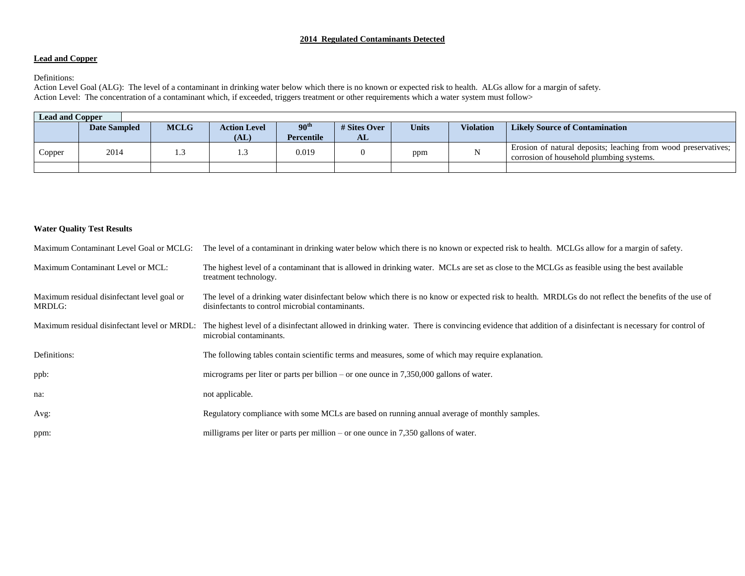## **2014 Regulated Contaminants Detected**

### **Lead and Copper**

Definitions:

Action Level Goal (ALG): The level of a contaminant in drinking water below which there is no known or expected risk to health. ALGs allow for a margin of safety. Action Level: The concentration of a contaminant which, if exceeded, triggers treatment or other requirements which a water system must follow>

| <b>Lead and Copper</b> |                     |  |                     |                  |              |              |                  |                                                                                                            |  |
|------------------------|---------------------|--|---------------------|------------------|--------------|--------------|------------------|------------------------------------------------------------------------------------------------------------|--|
|                        | <b>Date Sampled</b> |  | <b>Action Level</b> | 90 <sup>th</sup> | # Sites Over | <b>Units</b> | <b>Violation</b> | <b>Likely Source of Contamination</b>                                                                      |  |
|                        |                     |  | (AL)                | Percentile       | AL           |              |                  |                                                                                                            |  |
| Copper                 | 2014                |  | 1.J                 | 0.019            |              | ppm          |                  | Erosion of natural deposits; leaching from wood preservatives;<br>corrosion of household plumbing systems. |  |
|                        |                     |  |                     |                  |              |              |                  |                                                                                                            |  |

### **Water Quality Test Results**

| Maximum Contaminant Level Goal or MCLG:               | The level of a contaminant in drinking water below which there is no known or expected risk to health. MCLGs allow for a margin of safety.                                                               |
|-------------------------------------------------------|----------------------------------------------------------------------------------------------------------------------------------------------------------------------------------------------------------|
| Maximum Contaminant Level or MCL:                     | The highest level of a contaminant that is allowed in drinking water. MCLs are set as close to the MCLGs as feasible using the best available<br>treatment technology.                                   |
| Maximum residual disinfectant level goal or<br>MRDLG: | The level of a drinking water disinfectant below which there is no know or expected risk to health. MRDLGs do not reflect the benefits of the use of<br>disinfectants to control microbial contaminants. |
| Maximum residual disinfectant level or MRDL:          | The highest level of a disinfectant allowed in drinking water. There is convincing evidence that addition of a disinfectant is necessary for control of<br>microbial contaminants.                       |
| Definitions:                                          | The following tables contain scientific terms and measures, some of which may require explanation.                                                                                                       |
| ppb:                                                  | micrograms per liter or parts per billion – or one ounce in $7,350,000$ gallons of water.                                                                                                                |
| na:                                                   | not applicable.                                                                                                                                                                                          |
| Avg:                                                  | Regulatory compliance with some MCLs are based on running annual average of monthly samples.                                                                                                             |
| ppm:                                                  | milligrams per liter or parts per million $-$ or one ounce in 7,350 gallons of water.                                                                                                                    |